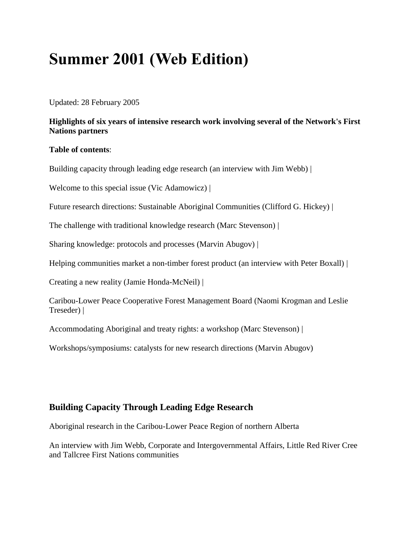# **Summer 2001 (Web Edition)**

Updated: 28 February 2005

#### **Highlights of six years of intensive research work involving several of the Network's First Nations partners**

#### **Table of contents**:

Building capacity through leading edge research (an interview with Jim Webb) |

Welcome to this special issue (Vic Adamowicz) |

Future research directions: Sustainable Aboriginal Communities (Clifford G. Hickey) |

The challenge with traditional knowledge research (Marc Stevenson) |

Sharing knowledge: protocols and processes (Marvin Abugov) |

Helping communities market a non-timber forest product (an interview with Peter Boxall) |

Creating a new reality (Jamie Honda-McNeil) |

Caribou-Lower Peace Cooperative Forest Management Board (Naomi Krogman and Leslie Treseder) |

Accommodating Aboriginal and treaty rights: a workshop (Marc Stevenson) |

Workshops/symposiums: catalysts for new research directions (Marvin Abugov)

## **Building Capacity Through Leading Edge Research**

Aboriginal research in the Caribou-Lower Peace Region of northern Alberta

An interview with Jim Webb, Corporate and Intergovernmental Affairs, Little Red River Cree and Tallcree First Nations communities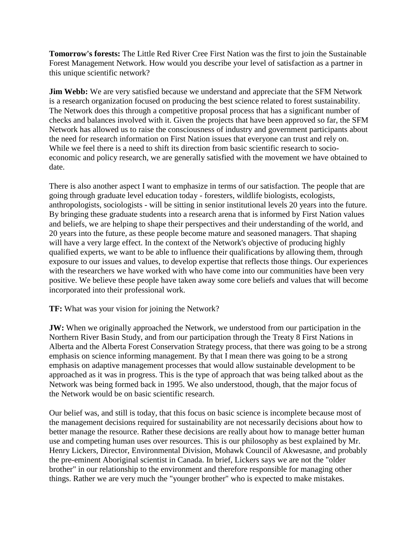**Tomorrow's forests:** The Little Red River Cree First Nation was the first to join the Sustainable Forest Management Network. How would you describe your level of satisfaction as a partner in this unique scientific network?

**Jim Webb:** We are very satisfied because we understand and appreciate that the SFM Network is a research organization focused on producing the best science related to forest sustainability. The Network does this through a competitive proposal process that has a significant number of checks and balances involved with it. Given the projects that have been approved so far, the SFM Network has allowed us to raise the consciousness of industry and government participants about the need for research information on First Nation issues that everyone can trust and rely on. While we feel there is a need to shift its direction from basic scientific research to socioeconomic and policy research, we are generally satisfied with the movement we have obtained to date.

There is also another aspect I want to emphasize in terms of our satisfaction. The people that are going through graduate level education today - foresters, wildlife biologists, ecologists, anthropologists, sociologists - will be sitting in senior institutional levels 20 years into the future. By bringing these graduate students into a research arena that is informed by First Nation values and beliefs, we are helping to shape their perspectives and their understanding of the world, and 20 years into the future, as these people become mature and seasoned managers. That shaping will have a very large effect. In the context of the Network's objective of producing highly qualified experts, we want to be able to influence their qualifications by allowing them, through exposure to our issues and values, to develop expertise that reflects those things. Our experiences with the researchers we have worked with who have come into our communities have been very positive. We believe these people have taken away some core beliefs and values that will become incorporated into their professional work.

#### **TF:** What was your vision for joining the Network?

**JW:** When we originally approached the Network, we understood from our participation in the Northern River Basin Study, and from our participation through the Treaty 8 First Nations in Alberta and the Alberta Forest Conservation Strategy process, that there was going to be a strong emphasis on science informing management. By that I mean there was going to be a strong emphasis on adaptive management processes that would allow sustainable development to be approached as it was in progress. This is the type of approach that was being talked about as the Network was being formed back in 1995. We also understood, though, that the major focus of the Network would be on basic scientific research.

Our belief was, and still is today, that this focus on basic science is incomplete because most of the management decisions required for sustainability are not necessarily decisions about how to better manage the resource. Rather these decisions are really about how to manage better human use and competing human uses over resources. This is our philosophy as best explained by Mr. Henry Lickers, Director, Environmental Division, Mohawk Council of Akwesasne, and probably the pre-eminent Aboriginal scientist in Canada. In brief, Lickers says we are not the "older brother" in our relationship to the environment and therefore responsible for managing other things. Rather we are very much the "younger brother" who is expected to make mistakes.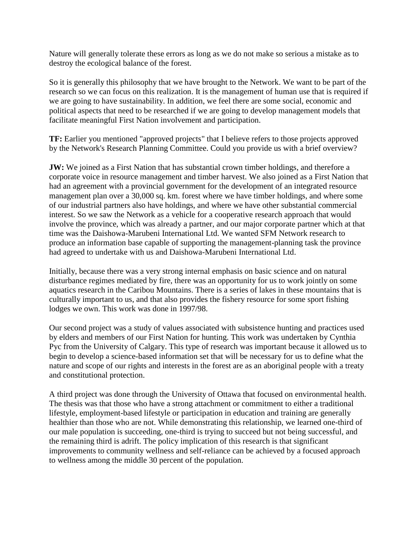Nature will generally tolerate these errors as long as we do not make so serious a mistake as to destroy the ecological balance of the forest.

So it is generally this philosophy that we have brought to the Network. We want to be part of the research so we can focus on this realization. It is the management of human use that is required if we are going to have sustainability. In addition, we feel there are some social, economic and political aspects that need to be researched if we are going to develop management models that facilitate meaningful First Nation involvement and participation.

**TF:** Earlier you mentioned "approved projects" that I believe refers to those projects approved by the Network's Research Planning Committee. Could you provide us with a brief overview?

**JW:** We joined as a First Nation that has substantial crown timber holdings, and therefore a corporate voice in resource management and timber harvest. We also joined as a First Nation that had an agreement with a provincial government for the development of an integrated resource management plan over a 30,000 sq. km. forest where we have timber holdings, and where some of our industrial partners also have holdings, and where we have other substantial commercial interest. So we saw the Network as a vehicle for a cooperative research approach that would involve the province, which was already a partner, and our major corporate partner which at that time was the Daishowa-Marubeni International Ltd. We wanted SFM Network research to produce an information base capable of supporting the management-planning task the province had agreed to undertake with us and Daishowa-Marubeni International Ltd.

Initially, because there was a very strong internal emphasis on basic science and on natural disturbance regimes mediated by fire, there was an opportunity for us to work jointly on some aquatics research in the Caribou Mountains. There is a series of lakes in these mountains that is culturally important to us, and that also provides the fishery resource for some sport fishing lodges we own. This work was done in 1997/98.

Our second project was a study of values associated with subsistence hunting and practices used by elders and members of our First Nation for hunting. This work was undertaken by Cynthia Pyc from the University of Calgary. This type of research was important because it allowed us to begin to develop a science-based information set that will be necessary for us to define what the nature and scope of our rights and interests in the forest are as an aboriginal people with a treaty and constitutional protection.

A third project was done through the University of Ottawa that focused on environmental health. The thesis was that those who have a strong attachment or commitment to either a traditional lifestyle, employment-based lifestyle or participation in education and training are generally healthier than those who are not. While demonstrating this relationship, we learned one-third of our male population is succeeding, one-third is trying to succeed but not being successful, and the remaining third is adrift. The policy implication of this research is that significant improvements to community wellness and self-reliance can be achieved by a focused approach to wellness among the middle 30 percent of the population.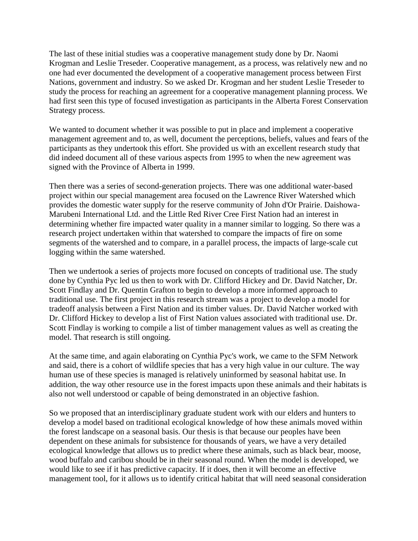The last of these initial studies was a cooperative management study done by Dr. Naomi Krogman and Leslie Treseder. Cooperative management, as a process, was relatively new and no one had ever documented the development of a cooperative management process between First Nations, government and industry. So we asked Dr. Krogman and her student Leslie Treseder to study the process for reaching an agreement for a cooperative management planning process. We had first seen this type of focused investigation as participants in the Alberta Forest Conservation Strategy process.

We wanted to document whether it was possible to put in place and implement a cooperative management agreement and to, as well, document the perceptions, beliefs, values and fears of the participants as they undertook this effort. She provided us with an excellent research study that did indeed document all of these various aspects from 1995 to when the new agreement was signed with the Province of Alberta in 1999.

Then there was a series of second-generation projects. There was one additional water-based project within our special management area focused on the Lawrence River Watershed which provides the domestic water supply for the reserve community of John d'Or Prairie. Daishowa-Marubeni International Ltd. and the Little Red River Cree First Nation had an interest in determining whether fire impacted water quality in a manner similar to logging. So there was a research project undertaken within that watershed to compare the impacts of fire on some segments of the watershed and to compare, in a parallel process, the impacts of large-scale cut logging within the same watershed.

Then we undertook a series of projects more focused on concepts of traditional use. The study done by Cynthia Pyc led us then to work with Dr. Clifford Hickey and Dr. David Natcher, Dr. Scott Findlay and Dr. Quentin Grafton to begin to develop a more informed approach to traditional use. The first project in this research stream was a project to develop a model for tradeoff analysis between a First Nation and its timber values. Dr. David Natcher worked with Dr. Clifford Hickey to develop a list of First Nation values associated with traditional use. Dr. Scott Findlay is working to compile a list of timber management values as well as creating the model. That research is still ongoing.

At the same time, and again elaborating on Cynthia Pyc's work, we came to the SFM Network and said, there is a cohort of wildlife species that has a very high value in our culture. The way human use of these species is managed is relatively uninformed by seasonal habitat use. In addition, the way other resource use in the forest impacts upon these animals and their habitats is also not well understood or capable of being demonstrated in an objective fashion.

So we proposed that an interdisciplinary graduate student work with our elders and hunters to develop a model based on traditional ecological knowledge of how these animals moved within the forest landscape on a seasonal basis. Our thesis is that because our peoples have been dependent on these animals for subsistence for thousands of years, we have a very detailed ecological knowledge that allows us to predict where these animals, such as black bear, moose, wood buffalo and caribou should be in their seasonal round. When the model is developed, we would like to see if it has predictive capacity. If it does, then it will become an effective management tool, for it allows us to identify critical habitat that will need seasonal consideration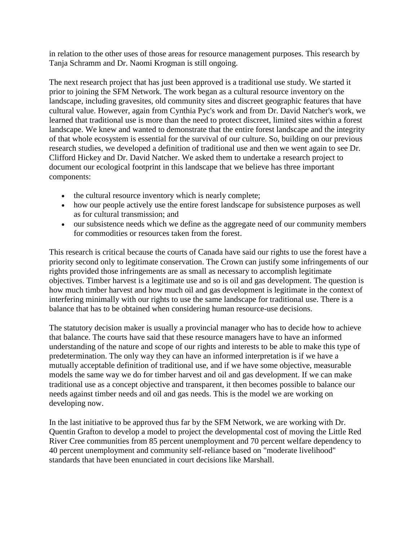in relation to the other uses of those areas for resource management purposes. This research by Tanja Schramm and Dr. Naomi Krogman is still ongoing.

The next research project that has just been approved is a traditional use study. We started it prior to joining the SFM Network. The work began as a cultural resource inventory on the landscape, including gravesites, old community sites and discreet geographic features that have cultural value. However, again from Cynthia Pyc's work and from Dr. David Natcher's work, we learned that traditional use is more than the need to protect discreet, limited sites within a forest landscape. We knew and wanted to demonstrate that the entire forest landscape and the integrity of that whole ecosystem is essential for the survival of our culture. So, building on our previous research studies, we developed a definition of traditional use and then we went again to see Dr. Clifford Hickey and Dr. David Natcher. We asked them to undertake a research project to document our ecological footprint in this landscape that we believe has three important components:

- the cultural resource inventory which is nearly complete;
- how our people actively use the entire forest landscape for subsistence purposes as well as for cultural transmission; and
- our subsistence needs which we define as the aggregate need of our community members for commodities or resources taken from the forest.

This research is critical because the courts of Canada have said our rights to use the forest have a priority second only to legitimate conservation. The Crown can justify some infringements of our rights provided those infringements are as small as necessary to accomplish legitimate objectives. Timber harvest is a legitimate use and so is oil and gas development. The question is how much timber harvest and how much oil and gas development is legitimate in the context of interfering minimally with our rights to use the same landscape for traditional use. There is a balance that has to be obtained when considering human resource-use decisions.

The statutory decision maker is usually a provincial manager who has to decide how to achieve that balance. The courts have said that these resource managers have to have an informed understanding of the nature and scope of our rights and interests to be able to make this type of predetermination. The only way they can have an informed interpretation is if we have a mutually acceptable definition of traditional use, and if we have some objective, measurable models the same way we do for timber harvest and oil and gas development. If we can make traditional use as a concept objective and transparent, it then becomes possible to balance our needs against timber needs and oil and gas needs. This is the model we are working on developing now.

In the last initiative to be approved thus far by the SFM Network, we are working with Dr. Quentin Grafton to develop a model to project the developmental cost of moving the Little Red River Cree communities from 85 percent unemployment and 70 percent welfare dependency to 40 percent unemployment and community self-reliance based on "moderate livelihood" standards that have been enunciated in court decisions like Marshall.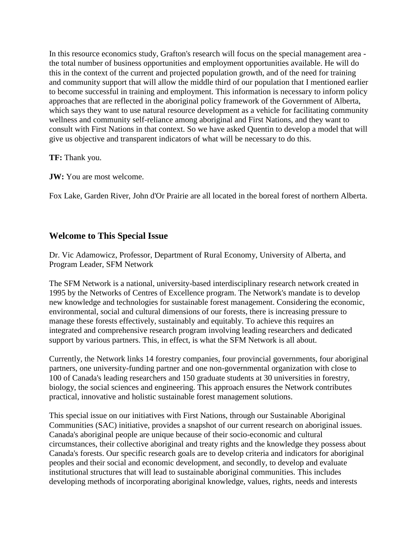In this resource economics study, Grafton's research will focus on the special management area the total number of business opportunities and employment opportunities available. He will do this in the context of the current and projected population growth, and of the need for training and community support that will allow the middle third of our population that I mentioned earlier to become successful in training and employment. This information is necessary to inform policy approaches that are reflected in the aboriginal policy framework of the Government of Alberta, which says they want to use natural resource development as a vehicle for facilitating community wellness and community self-reliance among aboriginal and First Nations, and they want to consult with First Nations in that context. So we have asked Quentin to develop a model that will give us objective and transparent indicators of what will be necessary to do this.

**TF:** Thank you.

**JW:** You are most welcome.

Fox Lake, Garden River, John d'Or Prairie are all located in the boreal forest of northern Alberta.

## **Welcome to This Special Issue**

Dr. Vic Adamowicz, Professor, Department of Rural Economy, University of Alberta, and Program Leader, SFM Network

The SFM Network is a national, university-based interdisciplinary research network created in 1995 by the Networks of Centres of Excellence program. The Network's mandate is to develop new knowledge and technologies for sustainable forest management. Considering the economic, environmental, social and cultural dimensions of our forests, there is increasing pressure to manage these forests effectively, sustainably and equitably. To achieve this requires an integrated and comprehensive research program involving leading researchers and dedicated support by various partners. This, in effect, is what the SFM Network is all about.

Currently, the Network links 14 forestry companies, four provincial governments, four aboriginal partners, one university-funding partner and one non-governmental organization with close to 100 of Canada's leading researchers and 150 graduate students at 30 universities in forestry, biology, the social sciences and engineering. This approach ensures the Network contributes practical, innovative and holistic sustainable forest management solutions.

This special issue on our initiatives with First Nations, through our Sustainable Aboriginal Communities (SAC) initiative, provides a snapshot of our current research on aboriginal issues. Canada's aboriginal people are unique because of their socio-economic and cultural circumstances, their collective aboriginal and treaty rights and the knowledge they possess about Canada's forests. Our specific research goals are to develop criteria and indicators for aboriginal peoples and their social and economic development, and secondly, to develop and evaluate institutional structures that will lead to sustainable aboriginal communities. This includes developing methods of incorporating aboriginal knowledge, values, rights, needs and interests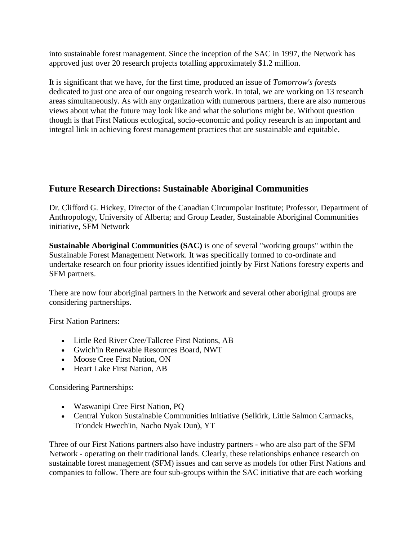into sustainable forest management. Since the inception of the SAC in 1997, the Network has approved just over 20 research projects totalling approximately \$1.2 million.

It is significant that we have, for the first time, produced an issue of *Tomorrow's forests* dedicated to just one area of our ongoing research work. In total, we are working on 13 research areas simultaneously. As with any organization with numerous partners, there are also numerous views about what the future may look like and what the solutions might be. Without question though is that First Nations ecological, socio-economic and policy research is an important and integral link in achieving forest management practices that are sustainable and equitable.

# **Future Research Directions: Sustainable Aboriginal Communities**

Dr. Clifford G. Hickey, Director of the Canadian Circumpolar Institute; Professor, Department of Anthropology, University of Alberta; and Group Leader, Sustainable Aboriginal Communities initiative, SFM Network

**Sustainable Aboriginal Communities (SAC)** is one of several "working groups" within the Sustainable Forest Management Network. It was specifically formed to co-ordinate and undertake research on four priority issues identified jointly by First Nations forestry experts and SFM partners.

There are now four aboriginal partners in the Network and several other aboriginal groups are considering partnerships.

First Nation Partners:

- Little Red River Cree/Tallcree First Nations, AB
- Gwich'in Renewable Resources Board, NWT
- Moose Cree First Nation, ON
- Heart Lake First Nation, AB

Considering Partnerships:

- Waswanipi Cree First Nation, PQ
- Central Yukon Sustainable Communities Initiative (Selkirk, Little Salmon Carmacks, Tr'ondek Hwech'in, Nacho Nyak Dun), YT

Three of our First Nations partners also have industry partners - who are also part of the SFM Network - operating on their traditional lands. Clearly, these relationships enhance research on sustainable forest management (SFM) issues and can serve as models for other First Nations and companies to follow. There are four sub-groups within the SAC initiative that are each working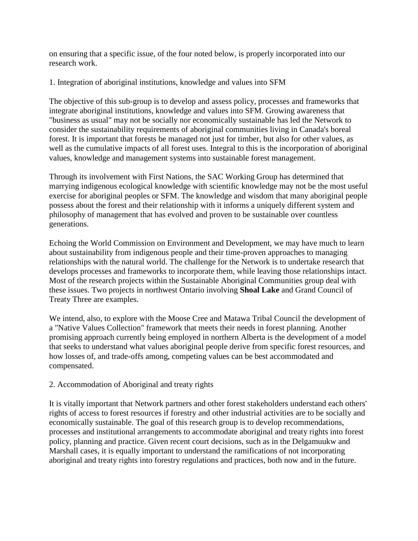on ensuring that a specific issue, of the four noted below, is properly incorporated into our research work.

1. Integration of aboriginal institutions, knowledge and values into SFM

The objective of this sub-group is to develop and assess policy, processes and frameworks that integrate aboriginal institutions, knowledge and values into SFM. Growing awareness that "business as usual" may not be socially nor economically sustainable has led the Network to consider the sustainability requirements of aboriginal communities living in Canada's boreal forest. It is important that forests be managed not just for timber, but also for other values, as well as the cumulative impacts of all forest uses. Integral to this is the incorporation of aboriginal values, knowledge and management systems into sustainable forest management.

Through its involvement with First Nations, the SAC Working Group has determined that marrying indigenous ecological knowledge with scientific knowledge may not be the most useful exercise for aboriginal peoples or SFM. The knowledge and wisdom that many aboriginal people possess about the forest and their relationship with it informs a uniquely different system and philosophy of management that has evolved and proven to be sustainable over countless generations.

Echoing the World Commission on Environment and Development, we may have much to learn about sustainability from indigenous people and their time-proven approaches to managing relationships with the natural world. The challenge for the Network is to undertake research that develops processes and frameworks to incorporate them, while leaving those relationships intact. Most of the research projects within the Sustainable Aboriginal Communities group deal with these issues. Two projects in northwest Ontario involving **Shoal Lake** and Grand Council of Treaty Three are examples.

We intend, also, to explore with the Moose Cree and Matawa Tribal Council the development of a "Native Values Collection" framework that meets their needs in forest planning. Another promising approach currently being employed in northern Alberta is the development of a model that seeks to understand what values aboriginal people derive from specific forest resources, and how losses of, and trade-offs among, competing values can be best accommodated and compensated.

#### 2. Accommodation of Aboriginal and treaty rights

It is vitally important that Network partners and other forest stakeholders understand each others' rights of access to forest resources if forestry and other industrial activities are to be socially and economically sustainable. The goal of this research group is to develop recommendations, processes and institutional arrangements to accommodate aboriginal and treaty rights into forest policy, planning and practice. Given recent court decisions, such as in the Delgamuukw and Marshall cases, it is equally important to understand the ramifications of not incorporating aboriginal and treaty rights into forestry regulations and practices, both now and in the future.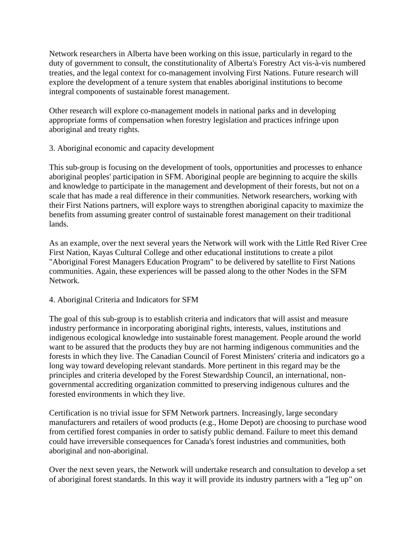Network researchers in Alberta have been working on this issue, particularly in regard to the duty of government to consult, the constitutionality of Alberta's Forestry Act vis-à-vis numbered treaties, and the legal context for co-management involving First Nations. Future research will explore the development of a tenure system that enables aboriginal institutions to become integral components of sustainable forest management.

Other research will explore co-management models in national parks and in developing appropriate forms of compensation when forestry legislation and practices infringe upon aboriginal and treaty rights.

3. Aboriginal economic and capacity development

This sub-group is focusing on the development of tools, opportunities and processes to enhance aboriginal peoples' participation in SFM. Aboriginal people are beginning to acquire the skills and knowledge to participate in the management and development of their forests, but not on a scale that has made a real difference in their communities. Network researchers, working with their First Nations partners, will explore ways to strengthen aboriginal capacity to maximize the benefits from assuming greater control of sustainable forest management on their traditional lands.

As an example, over the next several years the Network will work with the Little Red River Cree First Nation, Kayas Cultural College and other educational institutions to create a pilot "Aboriginal Forest Managers Education Program" to be delivered by satellite to First Nations communities. Again, these experiences will be passed along to the other Nodes in the SFM Network.

#### 4. Aboriginal Criteria and Indicators for SFM

The goal of this sub-group is to establish criteria and indicators that will assist and measure industry performance in incorporating aboriginal rights, interests, values, institutions and indigenous ecological knowledge into sustainable forest management. People around the world want to be assured that the products they buy are not harming indigenous communities and the forests in which they live. The Canadian Council of Forest Ministers' criteria and indicators go a long way toward developing relevant standards. More pertinent in this regard may be the principles and criteria developed by the Forest Stewardship Council, an international, nongovernmental accrediting organization committed to preserving indigenous cultures and the forested environments in which they live.

Certification is no trivial issue for SFM Network partners. Increasingly, large secondary manufacturers and retailers of wood products (e.g., Home Depot) are choosing to purchase wood from certified forest companies in order to satisfy public demand. Failure to meet this demand could have irreversible consequences for Canada's forest industries and communities, both aboriginal and non-aboriginal.

Over the next seven years, the Network will undertake research and consultation to develop a set of aboriginal forest standards. In this way it will provide its industry partners with a "leg up" on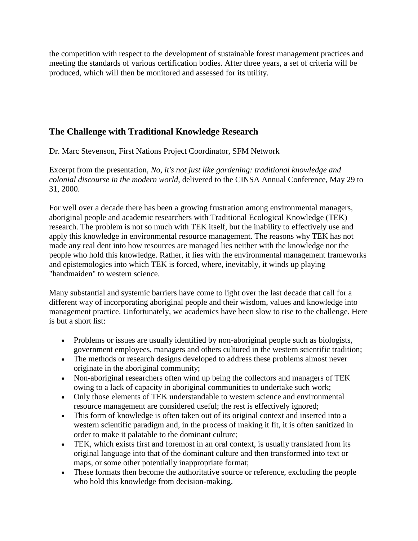the competition with respect to the development of sustainable forest management practices and meeting the standards of various certification bodies. After three years, a set of criteria will be produced, which will then be monitored and assessed for its utility.

# **The Challenge with Traditional Knowledge Research**

Dr. Marc Stevenson, First Nations Project Coordinator, SFM Network

Excerpt from the presentation, *No, it's not just like gardening: traditional knowledge and colonial discourse in the modern world*, delivered to the CINSA Annual Conference, May 29 to 31, 2000.

For well over a decade there has been a growing frustration among environmental managers, aboriginal people and academic researchers with Traditional Ecological Knowledge (TEK) research. The problem is not so much with TEK itself, but the inability to effectively use and apply this knowledge in environmental resource management. The reasons why TEK has not made any real dent into how resources are managed lies neither with the knowledge nor the people who hold this knowledge. Rather, it lies with the environmental management frameworks and epistemologies into which TEK is forced, where, inevitably, it winds up playing "handmaiden" to western science.

Many substantial and systemic barriers have come to light over the last decade that call for a different way of incorporating aboriginal people and their wisdom, values and knowledge into management practice. Unfortunately, we academics have been slow to rise to the challenge. Here is but a short list:

- Problems or issues are usually identified by non-aboriginal people such as biologists, government employees, managers and others cultured in the western scientific tradition;
- The methods or research designs developed to address these problems almost never originate in the aboriginal community;
- Non-aboriginal researchers often wind up being the collectors and managers of TEK owing to a lack of capacity in aboriginal communities to undertake such work;
- Only those elements of TEK understandable to western science and environmental resource management are considered useful; the rest is effectively ignored;
- This form of knowledge is often taken out of its original context and inserted into a western scientific paradigm and, in the process of making it fit, it is often sanitized in order to make it palatable to the dominant culture;
- TEK, which exists first and foremost in an oral context, is usually translated from its original language into that of the dominant culture and then transformed into text or maps, or some other potentially inappropriate format;
- These formats then become the authoritative source or reference, excluding the people who hold this knowledge from decision-making.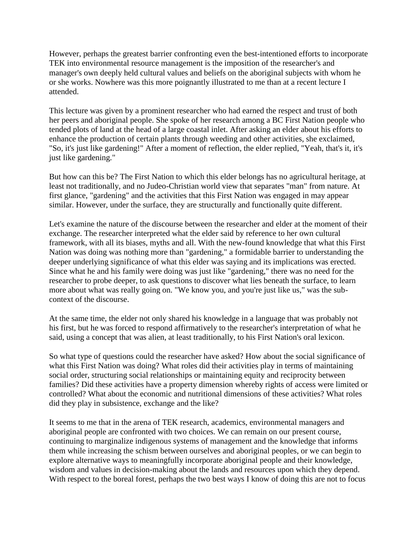However, perhaps the greatest barrier confronting even the best-intentioned efforts to incorporate TEK into environmental resource management is the imposition of the researcher's and manager's own deeply held cultural values and beliefs on the aboriginal subjects with whom he or she works. Nowhere was this more poignantly illustrated to me than at a recent lecture I attended.

This lecture was given by a prominent researcher who had earned the respect and trust of both her peers and aboriginal people. She spoke of her research among a BC First Nation people who tended plots of land at the head of a large coastal inlet. After asking an elder about his efforts to enhance the production of certain plants through weeding and other activities, she exclaimed, "So, it's just like gardening!" After a moment of reflection, the elder replied, "Yeah, that's it, it's just like gardening."

But how can this be? The First Nation to which this elder belongs has no agricultural heritage, at least not traditionally, and no Judeo-Christian world view that separates "man" from nature. At first glance, "gardening" and the activities that this First Nation was engaged in may appear similar. However, under the surface, they are structurally and functionally quite different.

Let's examine the nature of the discourse between the researcher and elder at the moment of their exchange. The researcher interpreted what the elder said by reference to her own cultural framework, with all its biases, myths and all. With the new-found knowledge that what this First Nation was doing was nothing more than "gardening," a formidable barrier to understanding the deeper underlying significance of what this elder was saying and its implications was erected. Since what he and his family were doing was just like "gardening," there was no need for the researcher to probe deeper, to ask questions to discover what lies beneath the surface, to learn more about what was really going on. "We know you, and you're just like us," was the subcontext of the discourse.

At the same time, the elder not only shared his knowledge in a language that was probably not his first, but he was forced to respond affirmatively to the researcher's interpretation of what he said, using a concept that was alien, at least traditionally, to his First Nation's oral lexicon.

So what type of questions could the researcher have asked? How about the social significance of what this First Nation was doing? What roles did their activities play in terms of maintaining social order, structuring social relationships or maintaining equity and reciprocity between families? Did these activities have a property dimension whereby rights of access were limited or controlled? What about the economic and nutritional dimensions of these activities? What roles did they play in subsistence, exchange and the like?

It seems to me that in the arena of TEK research, academics, environmental managers and aboriginal people are confronted with two choices. We can remain on our present course, continuing to marginalize indigenous systems of management and the knowledge that informs them while increasing the schism between ourselves and aboriginal peoples, or we can begin to explore alternative ways to meaningfully incorporate aboriginal people and their knowledge, wisdom and values in decision-making about the lands and resources upon which they depend. With respect to the boreal forest, perhaps the two best ways I know of doing this are not to focus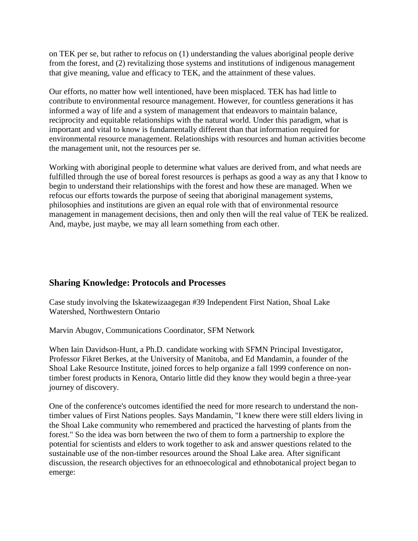on TEK per se, but rather to refocus on (1) understanding the values aboriginal people derive from the forest, and (2) revitalizing those systems and institutions of indigenous management that give meaning, value and efficacy to TEK, and the attainment of these values.

Our efforts, no matter how well intentioned, have been misplaced. TEK has had little to contribute to environmental resource management. However, for countless generations it has informed a way of life and a system of management that endeavors to maintain balance, reciprocity and equitable relationships with the natural world. Under this paradigm, what is important and vital to know is fundamentally different than that information required for environmental resource management. Relationships with resources and human activities become the management unit, not the resources per se.

Working with aboriginal people to determine what values are derived from, and what needs are fulfilled through the use of boreal forest resources is perhaps as good a way as any that I know to begin to understand their relationships with the forest and how these are managed. When we refocus our efforts towards the purpose of seeing that aboriginal management systems, philosophies and institutions are given an equal role with that of environmental resource management in management decisions, then and only then will the real value of TEK be realized. And, maybe, just maybe, we may all learn something from each other.

# **Sharing Knowledge: Protocols and Processes**

Case study involving the Iskatewizaagegan #39 Independent First Nation, Shoal Lake Watershed, Northwestern Ontario

Marvin Abugov, Communications Coordinator, SFM Network

When Iain Davidson-Hunt, a Ph.D. candidate working with SFMN Principal Investigator, Professor Fikret Berkes, at the University of Manitoba, and Ed Mandamin, a founder of the Shoal Lake Resource Institute, joined forces to help organize a fall 1999 conference on nontimber forest products in Kenora, Ontario little did they know they would begin a three-year journey of discovery.

One of the conference's outcomes identified the need for more research to understand the nontimber values of First Nations peoples. Says Mandamin, "I knew there were still elders living in the Shoal Lake community who remembered and practiced the harvesting of plants from the forest." So the idea was born between the two of them to form a partnership to explore the potential for scientists and elders to work together to ask and answer questions related to the sustainable use of the non-timber resources around the Shoal Lake area. After significant discussion, the research objectives for an ethnoecological and ethnobotanical project began to emerge: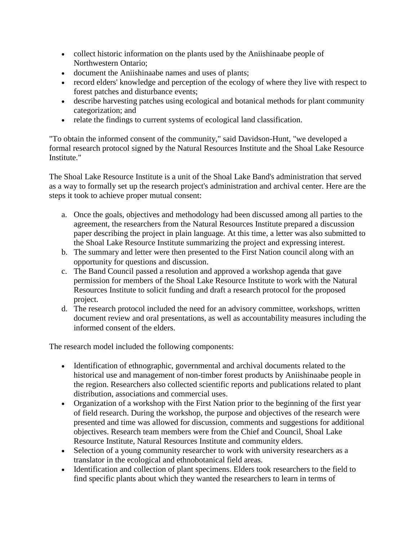- collect historic information on the plants used by the Aniishinaabe people of Northwestern Ontario;
- document the Aniishinaabe names and uses of plants;
- record elders' knowledge and perception of the ecology of where they live with respect to forest patches and disturbance events;
- describe harvesting patches using ecological and botanical methods for plant community categorization; and
- relate the findings to current systems of ecological land classification.

"To obtain the informed consent of the community," said Davidson-Hunt, "we developed a formal research protocol signed by the Natural Resources Institute and the Shoal Lake Resource Institute."

The Shoal Lake Resource Institute is a unit of the Shoal Lake Band's administration that served as a way to formally set up the research project's administration and archival center. Here are the steps it took to achieve proper mutual consent:

- a. Once the goals, objectives and methodology had been discussed among all parties to the agreement, the researchers from the Natural Resources Institute prepared a discussion paper describing the project in plain language. At this time, a letter was also submitted to the Shoal Lake Resource Institute summarizing the project and expressing interest.
- b. The summary and letter were then presented to the First Nation council along with an opportunity for questions and discussion.
- c. The Band Council passed a resolution and approved a workshop agenda that gave permission for members of the Shoal Lake Resource Institute to work with the Natural Resources Institute to solicit funding and draft a research protocol for the proposed project.
- d. The research protocol included the need for an advisory committee, workshops, written document review and oral presentations, as well as accountability measures including the informed consent of the elders.

The research model included the following components:

- Identification of ethnographic, governmental and archival documents related to the historical use and management of non-timber forest products by Aniishinaabe people in the region. Researchers also collected scientific reports and publications related to plant distribution, associations and commercial uses.
- Organization of a workshop with the First Nation prior to the beginning of the first year of field research. During the workshop, the purpose and objectives of the research were presented and time was allowed for discussion, comments and suggestions for additional objectives. Research team members were from the Chief and Council, Shoal Lake Resource Institute, Natural Resources Institute and community elders.
- Selection of a young community researcher to work with university researchers as a translator in the ecological and ethnobotanical field areas.
- Identification and collection of plant specimens. Elders took researchers to the field to find specific plants about which they wanted the researchers to learn in terms of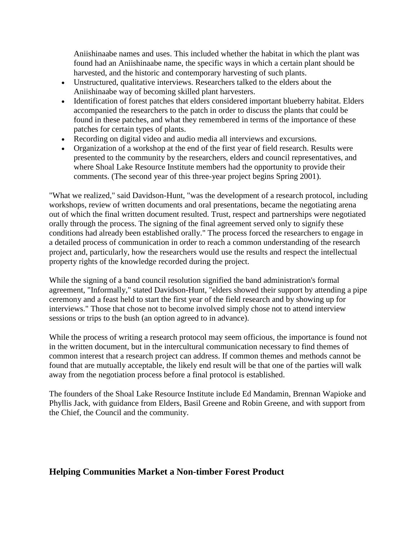Aniishinaabe names and uses. This included whether the habitat in which the plant was found had an Aniishinaabe name, the specific ways in which a certain plant should be harvested, and the historic and contemporary harvesting of such plants.

- Unstructured, qualitative interviews. Researchers talked to the elders about the Aniishinaabe way of becoming skilled plant harvesters.
- Identification of forest patches that elders considered important blueberry habitat. Elders accompanied the researchers to the patch in order to discuss the plants that could be found in these patches, and what they remembered in terms of the importance of these patches for certain types of plants.
- Recording on digital video and audio media all interviews and excursions.
- Organization of a workshop at the end of the first year of field research. Results were presented to the community by the researchers, elders and council representatives, and where Shoal Lake Resource Institute members had the opportunity to provide their comments. (The second year of this three-year project begins Spring 2001).

"What we realized," said Davidson-Hunt, "was the development of a research protocol, including workshops, review of written documents and oral presentations, became the negotiating arena out of which the final written document resulted. Trust, respect and partnerships were negotiated orally through the process. The signing of the final agreement served only to signify these conditions had already been established orally." The process forced the researchers to engage in a detailed process of communication in order to reach a common understanding of the research project and, particularly, how the researchers would use the results and respect the intellectual property rights of the knowledge recorded during the project.

While the signing of a band council resolution signified the band administration's formal agreement, "Informally," stated Davidson-Hunt, "elders showed their support by attending a pipe ceremony and a feast held to start the first year of the field research and by showing up for interviews." Those that chose not to become involved simply chose not to attend interview sessions or trips to the bush (an option agreed to in advance).

While the process of writing a research protocol may seem officious, the importance is found not in the written document, but in the intercultural communication necessary to find themes of common interest that a research project can address. If common themes and methods cannot be found that are mutually acceptable, the likely end result will be that one of the parties will walk away from the negotiation process before a final protocol is established.

The founders of the Shoal Lake Resource Institute include Ed Mandamin, Brennan Wapioke and Phyllis Jack, with guidance from Elders, Basil Greene and Robin Greene, and with support from the Chief, the Council and the community.

## **Helping Communities Market a Non-timber Forest Product**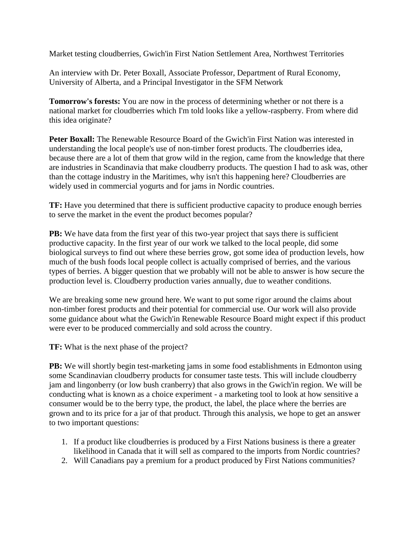Market testing cloudberries, Gwich'in First Nation Settlement Area, Northwest Territories

An interview with Dr. Peter Boxall, Associate Professor, Department of Rural Economy, University of Alberta, and a Principal Investigator in the SFM Network

**Tomorrow's forests:** You are now in the process of determining whether or not there is a national market for cloudberries which I'm told looks like a yellow-raspberry. From where did this idea originate?

**Peter Boxall:** The Renewable Resource Board of the Gwich'in First Nation was interested in understanding the local people's use of non-timber forest products. The cloudberries idea, because there are a lot of them that grow wild in the region, came from the knowledge that there are industries in Scandinavia that make cloudberry products. The question I had to ask was, other than the cottage industry in the Maritimes, why isn't this happening here? Cloudberries are widely used in commercial yogurts and for jams in Nordic countries.

**TF:** Have you determined that there is sufficient productive capacity to produce enough berries to serve the market in the event the product becomes popular?

**PB:** We have data from the first year of this two-year project that says there is sufficient productive capacity. In the first year of our work we talked to the local people, did some biological surveys to find out where these berries grow, got some idea of production levels, how much of the bush foods local people collect is actually comprised of berries, and the various types of berries. A bigger question that we probably will not be able to answer is how secure the production level is. Cloudberry production varies annually, due to weather conditions.

We are breaking some new ground here. We want to put some rigor around the claims about non-timber forest products and their potential for commercial use. Our work will also provide some guidance about what the Gwich'in Renewable Resource Board might expect if this product were ever to be produced commercially and sold across the country.

**TF:** What is the next phase of the project?

**PB:** We will shortly begin test-marketing jams in some food establishments in Edmonton using some Scandinavian cloudberry products for consumer taste tests. This will include cloudberry jam and lingonberry (or low bush cranberry) that also grows in the Gwich'in region. We will be conducting what is known as a choice experiment - a marketing tool to look at how sensitive a consumer would be to the berry type, the product, the label, the place where the berries are grown and to its price for a jar of that product. Through this analysis, we hope to get an answer to two important questions:

- 1. If a product like cloudberries is produced by a First Nations business is there a greater likelihood in Canada that it will sell as compared to the imports from Nordic countries?
- 2. Will Canadians pay a premium for a product produced by First Nations communities?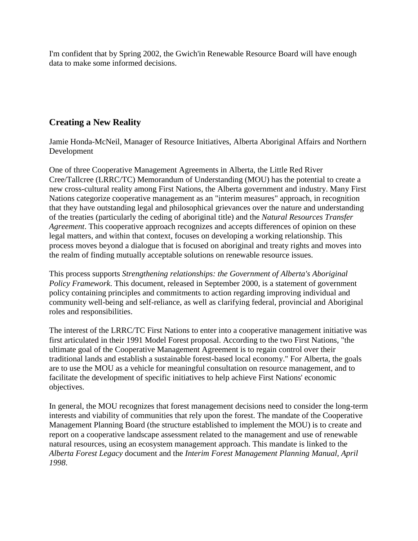I'm confident that by Spring 2002, the Gwich'in Renewable Resource Board will have enough data to make some informed decisions.

## **Creating a New Reality**

Jamie Honda-McNeil, Manager of Resource Initiatives, Alberta Aboriginal Affairs and Northern Development

One of three Cooperative Management Agreements in Alberta, the Little Red River Cree/Tallcree (LRRC/TC) Memorandum of Understanding (MOU) has the potential to create a new cross-cultural reality among First Nations, the Alberta government and industry. Many First Nations categorize cooperative management as an "interim measures" approach, in recognition that they have outstanding legal and philosophical grievances over the nature and understanding of the treaties (particularly the ceding of aboriginal title) and the *Natural Resources Transfer Agreement*. This cooperative approach recognizes and accepts differences of opinion on these legal matters, and within that context, focuses on developing a working relationship. This process moves beyond a dialogue that is focused on aboriginal and treaty rights and moves into the realm of finding mutually acceptable solutions on renewable resource issues.

This process supports *Strengthening relationships: the Government of Alberta's Aboriginal Policy Framework*. This document, released in September 2000, is a statement of government policy containing principles and commitments to action regarding improving individual and community well-being and self-reliance, as well as clarifying federal, provincial and Aboriginal roles and responsibilities.

The interest of the LRRC/TC First Nations to enter into a cooperative management initiative was first articulated in their 1991 Model Forest proposal. According to the two First Nations, "the ultimate goal of the Cooperative Management Agreement is to regain control over their traditional lands and establish a sustainable forest-based local economy." For Alberta, the goals are to use the MOU as a vehicle for meaningful consultation on resource management, and to facilitate the development of specific initiatives to help achieve First Nations' economic objectives.

In general, the MOU recognizes that forest management decisions need to consider the long-term interests and viability of communities that rely upon the forest. The mandate of the Cooperative Management Planning Board (the structure established to implement the MOU) is to create and report on a cooperative landscape assessment related to the management and use of renewable natural resources, using an ecosystem management approach. This mandate is linked to the *Alberta Forest Legacy* document and the *Interim Forest Management Planning Manual, April 1998*.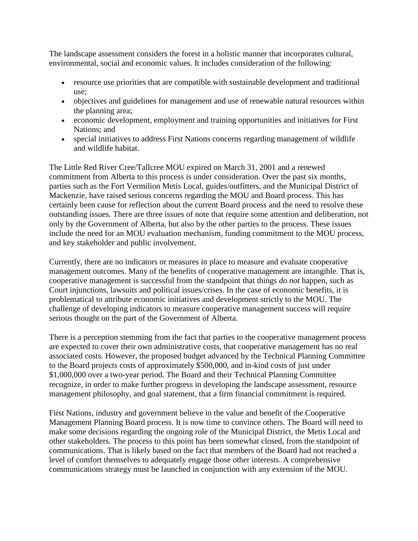The landscape assessment considers the forest in a holistic manner that incorporates cultural, environmental, social and economic values. It includes consideration of the following:

- resource use priorities that are compatible with sustainable development and traditional use;
- objectives and guidelines for management and use of renewable natural resources within the planning area;
- economic development, employment and training opportunities and initiatives for First Nations; and
- special initiatives to address First Nations concerns regarding management of wildlife and wildlife habitat.

The Little Red River Cree/Tallcree MOU expired on March 31, 2001 and a renewed commitment from Alberta to this process is under consideration. Over the past six months, parties such as the Fort Vermilion Metis Local, guides/outfitters, and the Municipal District of Mackenzie, have raised serious concerns regarding the MOU and Board process. This has certainly been cause for reflection about the current Board process and the need to resolve these outstanding issues. There are three issues of note that require some attention and deliberation, not only by the Government of Alberta, but also by the other parties to the process. These issues include the need for an MOU evaluation mechanism, funding commitment to the MOU process, and key stakeholder and public involvement.

Currently, there are no indicators or measures in place to measure and evaluate cooperative management outcomes. Many of the benefits of cooperative management are intangible. That is, cooperative management is successful from the standpoint that things *do not* happen, such as Court injunctions, lawsuits and political issues/crises. In the case of economic benefits, it is problematical to attribute economic initiatives and development strictly to the MOU. The challenge of developing indicators to measure cooperative management success will require serious thought on the part of the Government of Alberta.

There is a perception stemming from the fact that parties to the cooperative management process are expected to cover their own administrative costs, that cooperative management has no real associated costs. However, the proposed budget advanced by the Technical Planning Committee to the Board projects costs of approximately \$500,000, and in-kind costs of just under \$1,000,000 over a two-year period. The Board and their Technical Planning Committee recognize, in order to make further progress in developing the landscape assessment, resource management philosophy, and goal statement, that a firm financial commitment is required.

First Nations, industry and government believe in the value and benefit of the Cooperative Management Planning Board process. It is now time to convince others. The Board will need to make some decisions regarding the ongoing role of the Municipal District, the Metis Local and other stakeholders. The process to this point has been somewhat closed, from the standpoint of communications. That is likely based on the fact that members of the Board had not reached a level of comfort themselves to adequately engage those other interests. A comprehensive communications strategy must be launched in conjunction with any extension of the MOU.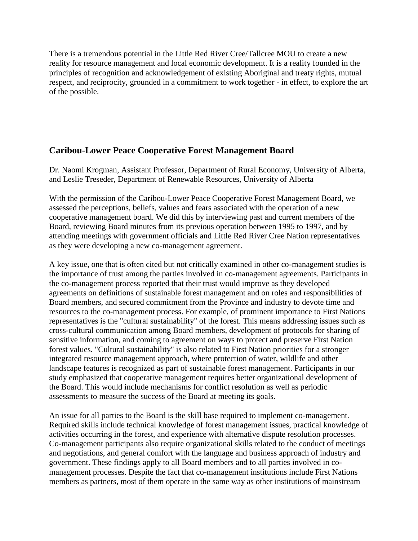There is a tremendous potential in the Little Red River Cree/Tallcree MOU to create a new reality for resource management and local economic development. It is a reality founded in the principles of recognition and acknowledgement of existing Aboriginal and treaty rights, mutual respect, and reciprocity, grounded in a commitment to work together - in effect, to explore the art of the possible.

## **Caribou-Lower Peace Cooperative Forest Management Board**

Dr. Naomi Krogman, Assistant Professor, Department of Rural Economy, University of Alberta, and Leslie Treseder, Department of Renewable Resources, University of Alberta

With the permission of the Caribou-Lower Peace Cooperative Forest Management Board, we assessed the perceptions, beliefs, values and fears associated with the operation of a new cooperative management board. We did this by interviewing past and current members of the Board, reviewing Board minutes from its previous operation between 1995 to 1997, and by attending meetings with government officials and Little Red River Cree Nation representatives as they were developing a new co-management agreement.

A key issue, one that is often cited but not critically examined in other co-management studies is the importance of trust among the parties involved in co-management agreements. Participants in the co-management process reported that their trust would improve as they developed agreements on definitions of sustainable forest management and on roles and responsibilities of Board members, and secured commitment from the Province and industry to devote time and resources to the co-management process. For example, of prominent importance to First Nations representatives is the "cultural sustainability" of the forest. This means addressing issues such as cross-cultural communication among Board members, development of protocols for sharing of sensitive information, and coming to agreement on ways to protect and preserve First Nation forest values. "Cultural sustainability" is also related to First Nation priorities for a stronger integrated resource management approach, where protection of water, wildlife and other landscape features is recognized as part of sustainable forest management. Participants in our study emphasized that cooperative management requires better organizational development of the Board. This would include mechanisms for conflict resolution as well as periodic assessments to measure the success of the Board at meeting its goals.

An issue for all parties to the Board is the skill base required to implement co-management. Required skills include technical knowledge of forest management issues, practical knowledge of activities occurring in the forest, and experience with alternative dispute resolution processes. Co-management participants also require organizational skills related to the conduct of meetings and negotiations, and general comfort with the language and business approach of industry and government. These findings apply to all Board members and to all parties involved in comanagement processes. Despite the fact that co-management institutions include First Nations members as partners, most of them operate in the same way as other institutions of mainstream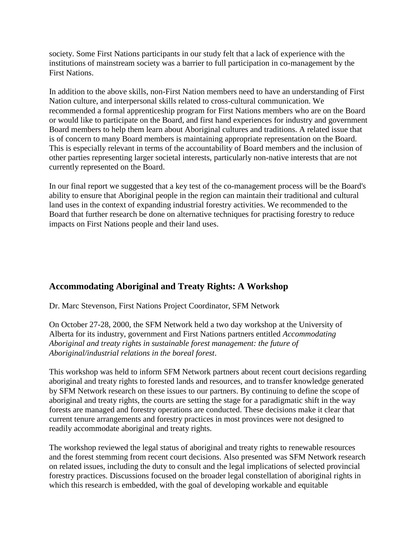society. Some First Nations participants in our study felt that a lack of experience with the institutions of mainstream society was a barrier to full participation in co-management by the First Nations.

In addition to the above skills, non-First Nation members need to have an understanding of First Nation culture, and interpersonal skills related to cross-cultural communication. We recommended a formal apprenticeship program for First Nations members who are on the Board or would like to participate on the Board, and first hand experiences for industry and government Board members to help them learn about Aboriginal cultures and traditions. A related issue that is of concern to many Board members is maintaining appropriate representation on the Board. This is especially relevant in terms of the accountability of Board members and the inclusion of other parties representing larger societal interests, particularly non-native interests that are not currently represented on the Board.

In our final report we suggested that a key test of the co-management process will be the Board's ability to ensure that Aboriginal people in the region can maintain their traditional and cultural land uses in the context of expanding industrial forestry activities. We recommended to the Board that further research be done on alternative techniques for practising forestry to reduce impacts on First Nations people and their land uses.

# **Accommodating Aboriginal and Treaty Rights: A Workshop**

Dr. Marc Stevenson, First Nations Project Coordinator, SFM Network

On October 27-28, 2000, the SFM Network held a two day workshop at the University of Alberta for its industry, government and First Nations partners entitled *Accommodating Aboriginal and treaty rights in sustainable forest management: the future of Aboriginal/industrial relations in the boreal forest*.

This workshop was held to inform SFM Network partners about recent court decisions regarding aboriginal and treaty rights to forested lands and resources, and to transfer knowledge generated by SFM Network research on these issues to our partners. By continuing to define the scope of aboriginal and treaty rights, the courts are setting the stage for a paradigmatic shift in the way forests are managed and forestry operations are conducted. These decisions make it clear that current tenure arrangements and forestry practices in most provinces were not designed to readily accommodate aboriginal and treaty rights.

The workshop reviewed the legal status of aboriginal and treaty rights to renewable resources and the forest stemming from recent court decisions. Also presented was SFM Network research on related issues, including the duty to consult and the legal implications of selected provincial forestry practices. Discussions focused on the broader legal constellation of aboriginal rights in which this research is embedded, with the goal of developing workable and equitable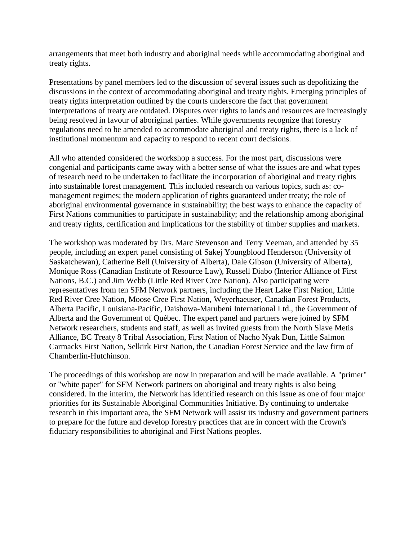arrangements that meet both industry and aboriginal needs while accommodating aboriginal and treaty rights.

Presentations by panel members led to the discussion of several issues such as depolitizing the discussions in the context of accommodating aboriginal and treaty rights. Emerging principles of treaty rights interpretation outlined by the courts underscore the fact that government interpretations of treaty are outdated. Disputes over rights to lands and resources are increasingly being resolved in favour of aboriginal parties. While governments recognize that forestry regulations need to be amended to accommodate aboriginal and treaty rights, there is a lack of institutional momentum and capacity to respond to recent court decisions.

All who attended considered the workshop a success. For the most part, discussions were congenial and participants came away with a better sense of what the issues are and what types of research need to be undertaken to facilitate the incorporation of aboriginal and treaty rights into sustainable forest management. This included research on various topics, such as: comanagement regimes; the modern application of rights guaranteed under treaty; the role of aboriginal environmental governance in sustainability; the best ways to enhance the capacity of First Nations communities to participate in sustainability; and the relationship among aboriginal and treaty rights, certification and implications for the stability of timber supplies and markets.

The workshop was moderated by Drs. Marc Stevenson and Terry Veeman, and attended by 35 people, including an expert panel consisting of Sakej Youngblood Henderson (University of Saskatchewan), Catherine Bell (University of Alberta), Dale Gibson (University of Alberta), Monique Ross (Canadian Institute of Resource Law), Russell Diabo (Interior Alliance of First Nations, B.C.) and Jim Webb (Little Red River Cree Nation). Also participating were representatives from ten SFM Network partners, including the Heart Lake First Nation, Little Red River Cree Nation, Moose Cree First Nation, Weyerhaeuser, Canadian Forest Products, Alberta Pacific, Louisiana-Pacific, Daishowa-Marubeni International Ltd., the Government of Alberta and the Government of Québec. The expert panel and partners were joined by SFM Network researchers, students and staff, as well as invited guests from the North Slave Metis Alliance, BC Treaty 8 Tribal Association, First Nation of Nacho Nyak Dun, Little Salmon Carmacks First Nation, Selkirk First Nation, the Canadian Forest Service and the law firm of Chamberlin-Hutchinson.

The proceedings of this workshop are now in preparation and will be made available. A "primer" or "white paper" for SFM Network partners on aboriginal and treaty rights is also being considered. In the interim, the Network has identified research on this issue as one of four major priorities for its Sustainable Aboriginal Communities Initiative. By continuing to undertake research in this important area, the SFM Network will assist its industry and government partners to prepare for the future and develop forestry practices that are in concert with the Crown's fiduciary responsibilities to aboriginal and First Nations peoples.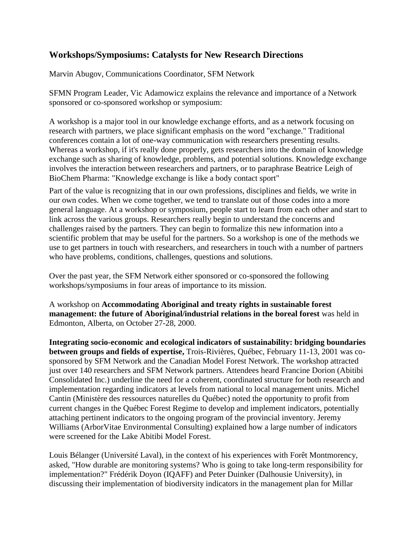## **Workshops/Symposiums: Catalysts for New Research Directions**

Marvin Abugov, Communications Coordinator, SFM Network

SFMN Program Leader, Vic Adamowicz explains the relevance and importance of a Network sponsored or co-sponsored workshop or symposium:

A workshop is a major tool in our knowledge exchange efforts, and as a network focusing on research with partners, we place significant emphasis on the word "exchange." Traditional conferences contain a lot of one-way communication with researchers presenting results. Whereas a workshop, if it's really done properly, gets researchers into the domain of knowledge exchange such as sharing of knowledge, problems, and potential solutions. Knowledge exchange involves the interaction between researchers and partners, or to paraphrase Beatrice Leigh of BioChem Pharma: "Knowledge exchange is like a body contact sport"

Part of the value is recognizing that in our own professions, disciplines and fields, we write in our own codes. When we come together, we tend to translate out of those codes into a more general language. At a workshop or symposium, people start to learn from each other and start to link across the various groups. Researchers really begin to understand the concerns and challenges raised by the partners. They can begin to formalize this new information into a scientific problem that may be useful for the partners. So a workshop is one of the methods we use to get partners in touch with researchers, and researchers in touch with a number of partners who have problems, conditions, challenges, questions and solutions.

Over the past year, the SFM Network either sponsored or co-sponsored the following workshops/symposiums in four areas of importance to its mission.

A workshop on **Accommodating Aboriginal and treaty rights in sustainable forest management: the future of Aboriginal/industrial relations in the boreal forest** was held in Edmonton, Alberta, on October 27-28, 2000.

**Integrating socio-economic and ecological indicators of sustainability: bridging boundaries between groups and fields of expertise,** Trois-Rivières, Québec, February 11-13, 2001 was cosponsored by SFM Network and the Canadian Model Forest Network. The workshop attracted just over 140 researchers and SFM Network partners. Attendees heard Francine Dorion (Abitibi Consolidated Inc.) underline the need for a coherent, coordinated structure for both research and implementation regarding indicators at levels from national to local management units. Michel Cantin (Ministère des ressources naturelles du Québec) noted the opportunity to profit from current changes in the Québec Forest Regime to develop and implement indicators, potentially attaching pertinent indicators to the ongoing program of the provincial inventory. Jeremy Williams (ArborVitae Environmental Consulting) explained how a large number of indicators were screened for the Lake Abitibi Model Forest.

Louis Bélanger (Université Laval), in the context of his experiences with Forêt Montmorency, asked, "How durable are monitoring systems? Who is going to take long-term responsibility for implementation?" Frédérik Doyon (IQAFF) and Peter Duinker (Dalhousie University), in discussing their implementation of biodiversity indicators in the management plan for Millar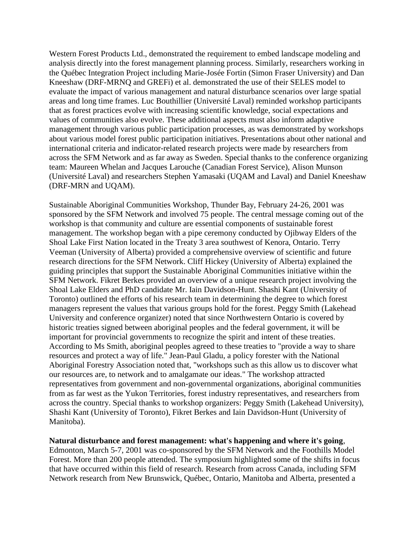Western Forest Products Ltd., demonstrated the requirement to embed landscape modeling and analysis directly into the forest management planning process. Similarly, researchers working in the Québec Integration Project including Marie-Josée Fortin (Simon Fraser University) and Dan Kneeshaw (DRF-MRNQ and GREFi) et al. demonstrated the use of their SELES model to evaluate the impact of various management and natural disturbance scenarios over large spatial areas and long time frames. Luc Bouthillier (Université Laval) reminded workshop participants that as forest practices evolve with increasing scientific knowledge, social expectations and values of communities also evolve. These additional aspects must also inform adaptive management through various public participation processes, as was demonstrated by workshops about various model forest public participation initiatives. Presentations about other national and international criteria and indicator-related research projects were made by researchers from across the SFM Network and as far away as Sweden. Special thanks to the conference organizing team: Maureen Whelan and Jacques Larouche (Canadian Forest Service), Alison Munson (Université Laval) and researchers Stephen Yamasaki (UQAM and Laval) and Daniel Kneeshaw (DRF-MRN and UQAM).

Sustainable Aboriginal Communities Workshop, Thunder Bay, February 24-26, 2001 was sponsored by the SFM Network and involved 75 people. The central message coming out of the workshop is that community and culture are essential components of sustainable forest management. The workshop began with a pipe ceremony conducted by Ojibway Elders of the Shoal Lake First Nation located in the Treaty 3 area southwest of Kenora, Ontario. Terry Veeman (University of Alberta) provided a comprehensive overview of scientific and future research directions for the SFM Network. Cliff Hickey (University of Alberta) explained the guiding principles that support the Sustainable Aboriginal Communities initiative within the SFM Network. Fikret Berkes provided an overview of a unique research project involving the Shoal Lake Elders and PhD candidate Mr. Iain Davidson-Hunt. Shashi Kant (University of Toronto) outlined the efforts of his research team in determining the degree to which forest managers represent the values that various groups hold for the forest. Peggy Smith (Lakehead University and conference organizer) noted that since Northwestern Ontario is covered by historic treaties signed between aboriginal peoples and the federal government, it will be important for provincial governments to recognize the spirit and intent of these treaties. According to Ms Smith, aboriginal peoples agreed to these treaties to "provide a way to share resources and protect a way of life." Jean-Paul Gladu, a policy forester with the National Aboriginal Forestry Association noted that, "workshops such as this allow us to discover what our resources are, to network and to amalgamate our ideas." The workshop attracted representatives from government and non-governmental organizations, aboriginal communities from as far west as the Yukon Territories, forest industry representatives, and researchers from across the country. Special thanks to workshop organizers: Peggy Smith (Lakehead University), Shashi Kant (University of Toronto), Fikret Berkes and Iain Davidson-Hunt (University of Manitoba).

**Natural disturbance and forest management: what's happening and where it's going**, Edmonton, March 5-7, 2001 was co-sponsored by the SFM Network and the Foothills Model Forest. More than 200 people attended. The symposium highlighted some of the shifts in focus that have occurred within this field of research. Research from across Canada, including SFM Network research from New Brunswick, Québec, Ontario, Manitoba and Alberta, presented a